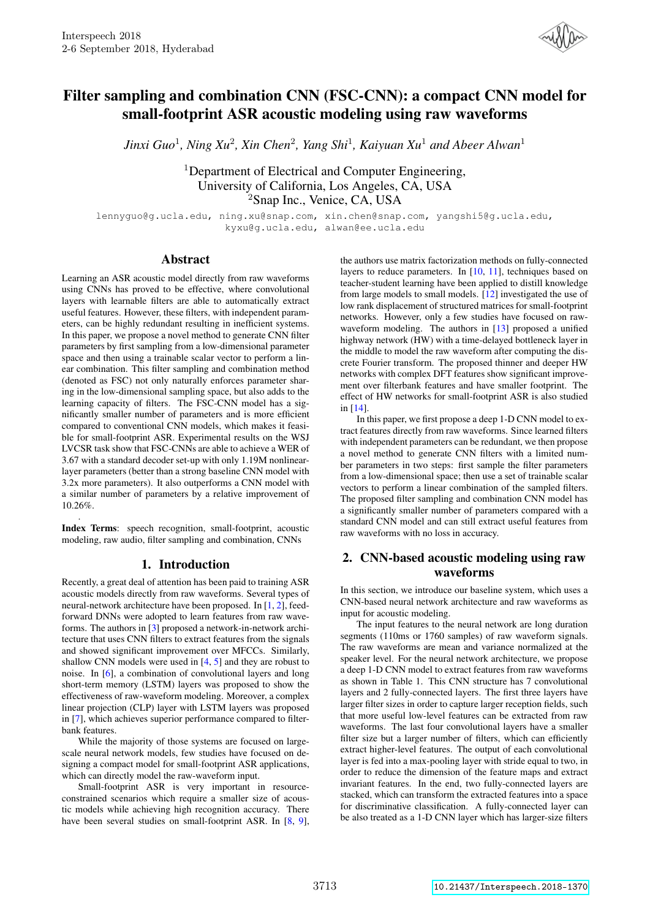

# Filter sampling and combination CNN (FSC-CNN): a compact CNN model for small-footprint ASR acoustic modeling using raw waveforms

*Jinxi Guo*<sup>1</sup> *, Ning Xu*<sup>2</sup> *, Xin Chen*<sup>2</sup> *, Yang Shi*<sup>1</sup> *, Kaiyuan Xu*<sup>1</sup> *and Abeer Alwan*<sup>1</sup>

<sup>1</sup>Department of Electrical and Computer Engineering, University of California, Los Angeles, CA, USA <sup>2</sup>Snap Inc., Venice, CA, USA

lennyguo@g.ucla.edu, ning.xu@snap.com, xin.chen@snap.com, yangshi5@g.ucla.edu, kyxu@g.ucla.edu, alwan@ee.ucla.edu

## Abstract

Learning an ASR acoustic model directly from raw waveforms using CNNs has proved to be effective, where convolutional layers with learnable filters are able to automatically extract useful features. However, these filters, with independent parameters, can be highly redundant resulting in inefficient systems. In this paper, we propose a novel method to generate CNN filter parameters by first sampling from a low-dimensional parameter space and then using a trainable scalar vector to perform a linear combination. This filter sampling and combination method (denoted as FSC) not only naturally enforces parameter sharing in the low-dimensional sampling space, but also adds to the learning capacity of filters. The FSC-CNN model has a significantly smaller number of parameters and is more efficient compared to conventional CNN models, which makes it feasible for small-footprint ASR. Experimental results on the WSJ LVCSR task show that FSC-CNNs are able to achieve a WER of 3.67 with a standard decoder set-up with only 1.19M nonlinearlayer parameters (better than a strong baseline CNN model with 3.2x more parameters). It also outperforms a CNN model with a similar number of parameters by a relative improvement of 10.26%.

. Index Terms: speech recognition, small-footprint, acoustic modeling, raw audio, filter sampling and combination, CNNs

## 1. Introduction

Recently, a great deal of attention has been paid to training ASR acoustic models directly from raw waveforms. Several types of neural-network architecture have been proposed. In [1, 2], feedforward DNNs were adopted to learn features from raw waveforms. The authors in [3] proposed a network-in-network architecture that uses CNN filters to extract features from the signals and showed significant improvement over MFCCs. Similarly, shallow CNN models were used in [4, 5] and they are robust to noise. In [6], a combination of convolutional layers and long short-term memory (LSTM) layers was proposed to show the effectiveness of raw-waveform modeling. Moreover, a complex linear projection (CLP) layer with LSTM layers was proposed in [7], which achieves superior performance compared to filterbank features.

While the majority of those systems are focused on largescale neural network models, few studies have focused on designing a compact model for small-footprint ASR applications, which can directly model the raw-waveform input.

Small-footprint ASR is very important in resourceconstrained scenarios which require a smaller size of acoustic models while achieving high recognition accuracy. There have been several studies on small-footprint ASR. In [8, 9],

the authors use matrix factorization methods on fully-connected layers to reduce parameters. In [10, 11], techniques based on teacher-student learning have been applied to distill knowledge from large models to small models. [12] investigated the use of low rank displacement of structured matrices for small-footprint networks. However, only a few studies have focused on rawwaveform modeling. The authors in [13] proposed a unified highway network (HW) with a time-delayed bottleneck layer in the middle to model the raw waveform after computing the discrete Fourier transform. The proposed thinner and deeper HW networks with complex DFT features show significant improvement over filterbank features and have smaller footprint. The effect of HW networks for small-footprint ASR is also studied in [14].

In this paper, we first propose a deep 1-D CNN model to extract features directly from raw waveforms. Since learned filters with independent parameters can be redundant, we then propose a novel method to generate CNN filters with a limited number parameters in two steps: first sample the filter parameters from a low-dimensional space; then use a set of trainable scalar vectors to perform a linear combination of the sampled filters. The proposed filter sampling and combination CNN model has a significantly smaller number of parameters compared with a standard CNN model and can still extract useful features from raw waveforms with no loss in accuracy.

# 2. CNN-based acoustic modeling using raw waveforms

In this section, we introduce our baseline system, which uses a CNN-based neural network architecture and raw waveforms as input for acoustic modeling.

The input features to the neural network are long duration segments (110ms or 1760 samples) of raw waveform signals. The raw waveforms are mean and variance normalized at the speaker level. For the neural network architecture, we propose a deep 1-D CNN model to extract features from raw waveforms as shown in Table 1. This CNN structure has 7 convolutional layers and 2 fully-connected layers. The first three layers have larger filter sizes in order to capture larger reception fields, such that more useful low-level features can be extracted from raw waveforms. The last four convolutional layers have a smaller filter size but a larger number of filters, which can efficiently extract higher-level features. The output of each convolutional layer is fed into a max-pooling layer with stride equal to two, in order to reduce the dimension of the feature maps and extract invariant features. In the end, two fully-connected layers are stacked, which can transform the extracted features into a space for discriminative classification. A fully-connected layer can be also treated as a 1-D CNN layer which has larger-size filters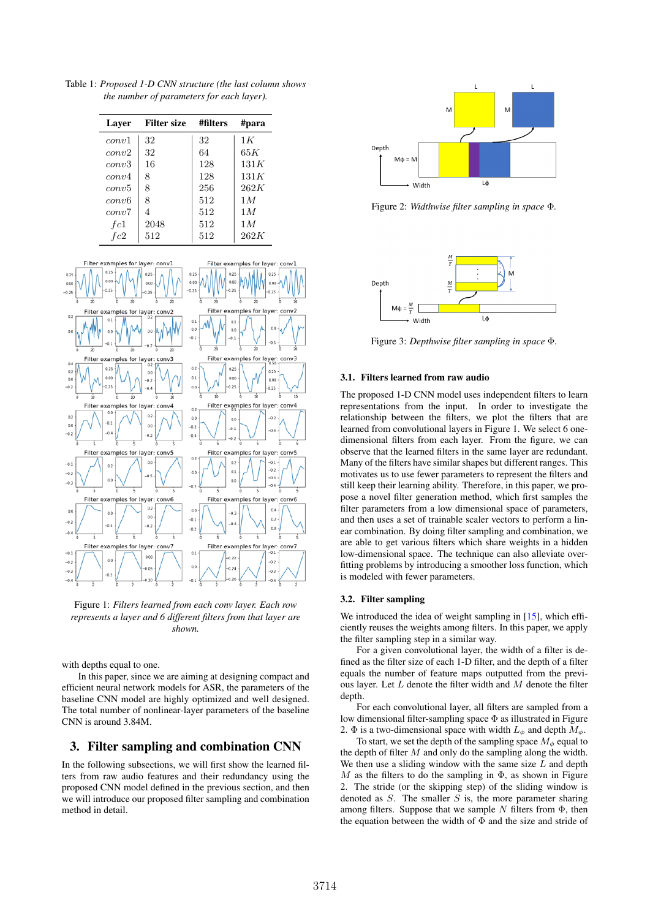Table 1: *Proposed 1-D CNN structure (the last column shows the number of parameters for each layer).*

| Laver | <b>Filter size</b> | #filters | #para |
|-------|--------------------|----------|-------|
| conv1 | 32                 | 32       | 1 K   |
| conv2 | 32                 | 64       | 65K   |
| conv3 | 16                 | 128      | 131K  |
| conv4 | 8                  | 128      | 131K  |
| conv5 | 8                  | 256      | 262K  |
| conv6 | 8                  | 512      | 1M    |
| conv7 | 4                  | 512      | 1M    |
| fc1   | 2048               | 512      | 1M    |
| fc2   | 512                | 512      | 262K  |



Figure 1: *Filters learned from each conv layer. Each row represents a layer and 6 different filters from that layer are shown.*

with depths equal to one.

In this paper, since we are aiming at designing compact and efficient neural network models for ASR, the parameters of the baseline CNN model are highly optimized and well designed. The total number of nonlinear-layer parameters of the baseline CNN is around 3.84M.

# 3. Filter sampling and combination CNN

In the following subsections, we will first show the learned filters from raw audio features and their redundancy using the proposed CNN model defined in the previous section, and then we will introduce our proposed filter sampling and combination method in detail.



Figure 2: *Widthwise filter sampling in space* Φ*.*



Figure 3: *Depthwise filter sampling in space* Φ*.*

## 3.1. Filters learned from raw audio

The proposed 1-D CNN model uses independent filters to learn representations from the input. In order to investigate the relationship between the filters, we plot the filters that are learned from convolutional layers in Figure 1. We select 6 onedimensional filters from each layer. From the figure, we can observe that the learned filters in the same layer are redundant. Many of the filters have similar shapes but different ranges. This motivates us to use fewer parameters to represent the filters and still keep their learning ability. Therefore, in this paper, we propose a novel filter generation method, which first samples the filter parameters from a low dimensional space of parameters, and then uses a set of trainable scaler vectors to perform a linear combination. By doing filter sampling and combination, we are able to get various filters which share weights in a hidden low-dimensional space. The technique can also alleviate overfitting problems by introducing a smoother loss function, which is modeled with fewer parameters.

#### 3.2. Filter sampling

We introduced the idea of weight sampling in [15], which efficiently reuses the weights among filters. In this paper, we apply the filter sampling step in a similar way.

For a given convolutional layer, the width of a filter is defined as the filter size of each 1-D filter, and the depth of a filter equals the number of feature maps outputted from the previous layer. Let  $L$  denote the filter width and  $M$  denote the filter depth.

For each convolutional layer, all filters are sampled from a low dimensional filter-sampling space Φ as illustrated in Figure 2.  $\Phi$  is a two-dimensional space with width  $L_{\phi}$  and depth  $M_{\phi}$ .

To start, we set the depth of the sampling space  $M_{\phi}$  equal to the depth of filter  $M$  and only do the sampling along the width. We then use a sliding window with the same size  $L$  and depth  $M$  as the filters to do the sampling in  $\Phi$ , as shown in Figure 2. The stride (or the skipping step) of the sliding window is denoted as  $S$ . The smaller  $S$  is, the more parameter sharing among filters. Suppose that we sample  $N$  filters from  $\Phi$ , then the equation between the width of  $\Phi$  and the size and stride of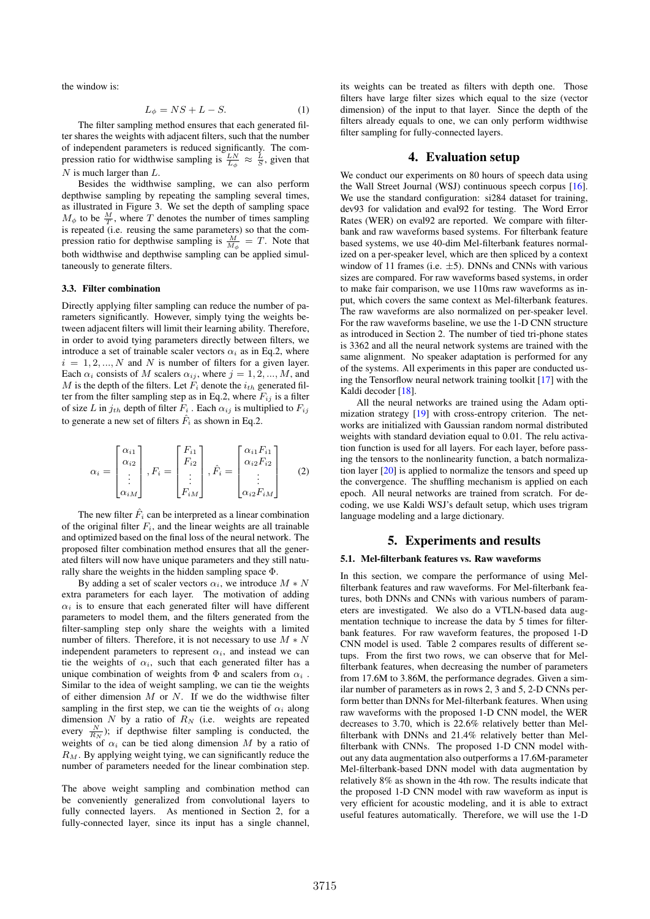the window is:

$$
L_{\phi} = NS + L - S. \tag{1}
$$

The filter sampling method ensures that each generated filter shares the weights with adjacent filters, such that the number of independent parameters is reduced significantly. The compression ratio for widthwise sampling is  $\frac{LN}{L_{\phi}} \approx \frac{L}{S}$ , given that  $N$  is much larger than  $L$ .

Besides the widthwise sampling, we can also perform depthwise sampling by repeating the sampling several times, as illustrated in Figure 3. We set the depth of sampling space  $M_{\phi}$  to be  $\frac{M}{T}$ , where T denotes the number of times sampling is repeated (i.e. reusing the same parameters) so that the compression ratio for depthwise sampling is  $\frac{M}{M_{\phi}} = T$ . Note that both widthwise and depthwise sampling can be applied simultaneously to generate filters.

## 3.3. Filter combination

Directly applying filter sampling can reduce the number of parameters significantly. However, simply tying the weights between adjacent filters will limit their learning ability. Therefore, in order to avoid tying parameters directly between filters, we introduce a set of trainable scaler vectors  $\alpha_i$  as in Eq.2, where  $i = 1, 2, ..., N$  and N is number of filters for a given layer. Each  $\alpha_i$  consists of M scalers  $\alpha_{ij}$ , where  $j = 1, 2, ..., M$ , and M is the depth of the filters. Let  $F_i$  denote the  $i_{th}$  generated filter from the filter sampling step as in Eq.2, where  $F_{ij}$  is a filter of size L in  $j_{th}$  depth of filter  $\overline{F}_i$ . Each  $\alpha_{ij}$  is multiplied to  $F_{ij}$ to generate a new set of filters  $\hat{F}_i$  as shown in Eq.2.

$$
\alpha_i = \begin{bmatrix} \alpha_{i1} \\ \alpha_{i2} \\ \vdots \\ \alpha_{iM} \end{bmatrix}, F_i = \begin{bmatrix} F_{i1} \\ F_{i2} \\ \vdots \\ F_{iM} \end{bmatrix}, \hat{F}_i = \begin{bmatrix} \alpha_{i1} F_{i1} \\ \alpha_{i2} F_{i2} \\ \vdots \\ \alpha_{i2} F_{iM} \end{bmatrix}
$$
(2)

The new filter  $\hat{F}_i$  can be interpreted as a linear combination of the original filter  $F_i$ , and the linear weights are all trainable and optimized based on the final loss of the neural network. The proposed filter combination method ensures that all the generated filters will now have unique parameters and they still naturally share the weights in the hidden sampling space Φ.

By adding a set of scaler vectors  $\alpha_i$ , we introduce  $M * N$ extra parameters for each layer. The motivation of adding  $\alpha_i$  is to ensure that each generated filter will have different parameters to model them, and the filters generated from the filter-sampling step only share the weights with a limited number of filters. Therefore, it is not necessary to use  $M*N$ independent parameters to represent  $\alpha_i$ , and instead we can tie the weights of  $\alpha_i$ , such that each generated filter has a unique combination of weights from  $\Phi$  and scalers from  $\alpha_i$ . Similar to the idea of weight sampling, we can tie the weights of either dimension  $M$  or  $N$ . If we do the widthwise filter sampling in the first step, we can tie the weights of  $\alpha_i$  along dimension  $N$  by a ratio of  $R_N$  (i.e. weights are repeated every  $\frac{N}{R_N}$ ); if depthwise filter sampling is conducted, the weights of  $\alpha_i$  can be tied along dimension M by a ratio of  $R_M$ . By applying weight tying, we can significantly reduce the number of parameters needed for the linear combination step.

The above weight sampling and combination method can be conveniently generalized from convolutional layers to fully connected layers. As mentioned in Section 2, for a fully-connected layer, since its input has a single channel, its weights can be treated as filters with depth one. Those filters have large filter sizes which equal to the size (vector dimension) of the input to that layer. Since the depth of the filters already equals to one, we can only perform widthwise filter sampling for fully-connected layers.

## 4. Evaluation setup

We conduct our experiments on 80 hours of speech data using the Wall Street Journal (WSJ) continuous speech corpus [16]. We use the standard configuration: si284 dataset for training, dev93 for validation and eval92 for testing. The Word Error Rates (WER) on eval92 are reported. We compare with filterbank and raw waveforms based systems. For filterbank feature based systems, we use 40-dim Mel-filterbank features normalized on a per-speaker level, which are then spliced by a context window of 11 frames (i.e.  $\pm$ 5). DNNs and CNNs with various sizes are compared. For raw waveforms based systems, in order to make fair comparison, we use 110ms raw waveforms as input, which covers the same context as Mel-filterbank features. The raw waveforms are also normalized on per-speaker level. For the raw waveforms baseline, we use the 1-D CNN structure as introduced in Section 2. The number of tied tri-phone states is 3362 and all the neural network systems are trained with the same alignment. No speaker adaptation is performed for any of the systems. All experiments in this paper are conducted using the Tensorflow neural network training toolkit [17] with the Kaldi decoder [18].

All the neural networks are trained using the Adam optimization strategy [19] with cross-entropy criterion. The networks are initialized with Gaussian random normal distributed weights with standard deviation equal to 0.01. The relu activation function is used for all layers. For each layer, before passing the tensors to the nonlinearity function, a batch normalization layer [20] is applied to normalize the tensors and speed up the convergence. The shuffling mechanism is applied on each epoch. All neural networks are trained from scratch. For decoding, we use Kaldi WSJ's default setup, which uses trigram language modeling and a large dictionary.

## 5. Experiments and results

## 5.1. Mel-filterbank features vs. Raw waveforms

In this section, we compare the performance of using Melfilterbank features and raw waveforms. For Mel-filterbank features, both DNNs and CNNs with various numbers of parameters are investigated. We also do a VTLN-based data augmentation technique to increase the data by 5 times for filterbank features. For raw waveform features, the proposed 1-D CNN model is used. Table 2 compares results of different setups. From the first two rows, we can observe that for Melfilterbank features, when decreasing the number of parameters from 17.6M to 3.86M, the performance degrades. Given a similar number of parameters as in rows 2, 3 and 5, 2-D CNNs perform better than DNNs for Mel-filterbank features. When using raw waveforms with the proposed 1-D CNN model, the WER decreases to 3.70, which is 22.6% relatively better than Melfilterbank with DNNs and 21.4% relatively better than Melfilterbank with CNNs. The proposed 1-D CNN model without any data augmentation also outperforms a 17.6M-parameter Mel-filterbank-based DNN model with data augmentation by relatively 8% as shown in the 4th row. The results indicate that the proposed 1-D CNN model with raw waveform as input is very efficient for acoustic modeling, and it is able to extract useful features automatically. Therefore, we will use the 1-D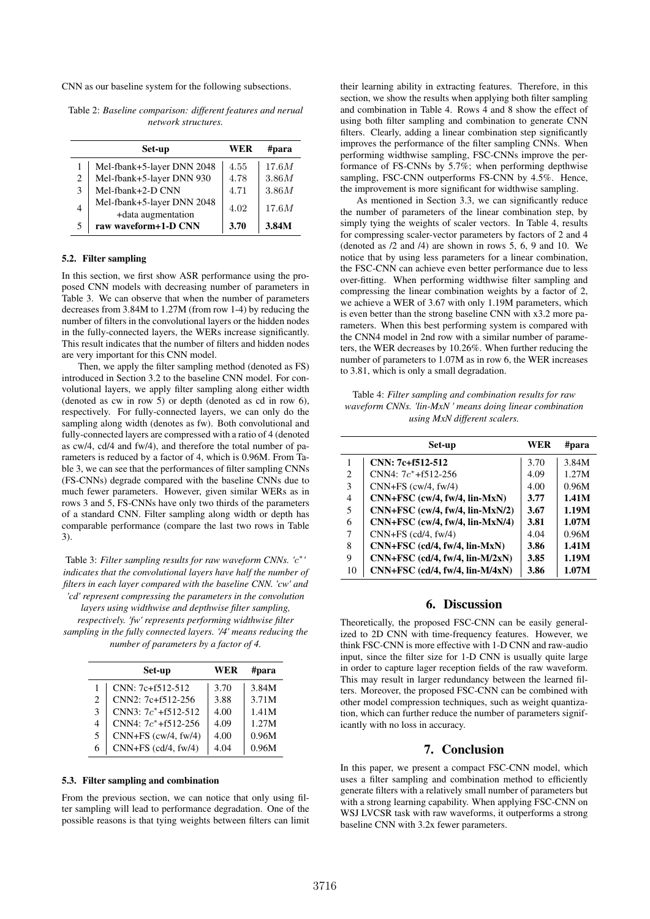CNN as our baseline system for the following subsections.

Table 2: *Baseline comparison: different features and nerual network structures.*

|   | Set-up                                           | WER  | #para |
|---|--------------------------------------------------|------|-------|
|   | Mel-fbank+5-layer DNN 2048                       | 4.55 | 17.6M |
| 2 | Mel-fbank+5-layer DNN 930                        | 4.78 | 3.86M |
| 3 | Mel-fbank+2-D CNN                                | 4.71 | 3.86M |
| 4 | Mel-fbank+5-layer DNN 2048<br>+data augmentation | 4.02 | 17.6M |
| 5 | raw waveform+1-D CNN                             | 3.70 | 3.84M |

## 5.2. Filter sampling

In this section, we first show ASR performance using the proposed CNN models with decreasing number of parameters in Table 3. We can observe that when the number of parameters decreases from 3.84M to 1.27M (from row 1-4) by reducing the number of filters in the convolutional layers or the hidden nodes in the fully-connected layers, the WERs increase significantly. This result indicates that the number of filters and hidden nodes are very important for this CNN model.

Then, we apply the filter sampling method (denoted as FS) introduced in Section 3.2 to the baseline CNN model. For convolutional layers, we apply filter sampling along either width (denoted as cw in row 5) or depth (denoted as cd in row 6), respectively. For fully-connected layers, we can only do the sampling along width (denotes as fw). Both convolutional and fully-connected layers are compressed with a ratio of 4 (denoted as cw/4, cd/4 and fw/4), and therefore the total number of parameters is reduced by a factor of 4, which is 0.96M. From Table 3, we can see that the performances of filter sampling CNNs (FS-CNNs) degrade compared with the baseline CNNs due to much fewer parameters. However, given similar WERs as in rows 3 and 5, FS-CNNs have only two thirds of the parameters of a standard CNN. Filter sampling along width or depth has comparable performance (compare the last two rows in Table 3).

Table 3: *Filter sampling results for raw waveform CNNs. '*c ∗ *' indicates that the convolutional layers have half the number of filters in each layer compared with the baseline CNN. 'cw' and 'cd' represent compressing the parameters in the convolution layers using widthwise and depthwise filter sampling, respectively. 'fw' represents performing widthwise filter sampling in the fully connected layers. '/4' means reducing the number of parameters by a factor of 4.*

|                | Set-up                  | WER  | #para |
|----------------|-------------------------|------|-------|
| 1              | $CNN: 7c + f512 - 512$  | 3.70 | 3.84M |
| $\mathfrak{D}$ | CNN2: 7c+f512-256       | 3.88 | 3.71M |
| 3              | $CNN3: 7c^* + f512-512$ | 4.00 | 1.41M |
| 4              | CNN4: $7c^*$ +f512-256  | 4.09 | 1.27M |
| 5              | $CNN+FS$ (cw/4, fw/4)   | 4.00 | 0.96M |
| 6              | $CNN+FS$ (cd/4, fw/4)   | 4.04 | 0.96M |

#### 5.3. Filter sampling and combination

From the previous section, we can notice that only using filter sampling will lead to performance degradation. One of the possible reasons is that tying weights between filters can limit their learning ability in extracting features. Therefore, in this section, we show the results when applying both filter sampling and combination in Table 4. Rows 4 and 8 show the effect of using both filter sampling and combination to generate CNN filters. Clearly, adding a linear combination step significantly improves the performance of the filter sampling CNNs. When performing widthwise sampling, FSC-CNNs improve the performance of FS-CNNs by 5.7%; when performing depthwise sampling, FSC-CNN outperforms FS-CNN by 4.5%. Hence, the improvement is more significant for widthwise sampling.

As mentioned in Section 3.3, we can significantly reduce the number of parameters of the linear combination step, by simply tying the weights of scaler vectors. In Table 4, results for compressing scaler-vector parameters by factors of 2 and 4 (denoted as /2 and /4) are shown in rows 5, 6, 9 and 10. We notice that by using less parameters for a linear combination, the FSC-CNN can achieve even better performance due to less over-fitting. When performing widthwise filter sampling and compressing the linear combination weights by a factor of 2, we achieve a WER of 3.67 with only 1.19M parameters, which is even better than the strong baseline CNN with x3.2 more parameters. When this best performing system is compared with the CNN4 model in 2nd row with a similar number of parameters, the WER decreases by 10.26%. When further reducing the number of parameters to 1.07M as in row 6, the WER increases to 3.81, which is only a small degradation.

Table 4: *Filter sampling and combination results for raw waveform CNNs. 'lin-MxN ' means doing linear combination using MxN different scalers.*

|    | Set-up                                | WER  | #para |
|----|---------------------------------------|------|-------|
| 1  | $CNN: 7c + f512 - 512$                | 3.70 | 3.84M |
| 2  | $CNN4:7c^*+f512-256$                  | 4.09 | 1.27M |
| 3  | $CNN+FS$ (cw/4, fw/4)                 | 4.00 | 0.96M |
| 4  | $CNN + FSC$ (cw/4, fw/4, lin-MxN)     | 3.77 | 1.41M |
| 5  | $CNN+FSC$ (cw/4, fw/4, lin- $MxN/2$ ) | 3.67 | 1.19M |
| 6  | $CNN + FSC$ (cw/4, fw/4, lin-MxN/4)   | 3.81 | 1.07M |
| 7  | $CNN+FS$ (cd/4, fw/4)                 | 4.04 | 0.96M |
| 8  | $CNN+FSC$ (cd/4, fw/4, lin-MxN)       | 3.86 | 1.41M |
| 9  | $CNN+FSC$ (cd/4, fw/4, lin- $M/2xN$ ) | 3.85 | 1.19M |
| 10 | $CNN+FSC$ (cd/4, fw/4, lin- $M/4xN$ ) | 3.86 | 1.07M |

## 6. Discussion

Theoretically, the proposed FSC-CNN can be easily generalized to 2D CNN with time-frequency features. However, we think FSC-CNN is more effective with 1-D CNN and raw-audio input, since the filter size for 1-D CNN is usually quite large in order to capture lager reception fields of the raw waveform. This may result in larger redundancy between the learned filters. Moreover, the proposed FSC-CNN can be combined with other model compression techniques, such as weight quantization, which can further reduce the number of parameters significantly with no loss in accuracy.

#### 7. Conclusion

In this paper, we present a compact FSC-CNN model, which uses a filter sampling and combination method to efficiently generate filters with a relatively small number of parameters but with a strong learning capability. When applying FSC-CNN on WSJ LVCSR task with raw waveforms, it outperforms a strong baseline CNN with 3.2x fewer parameters.